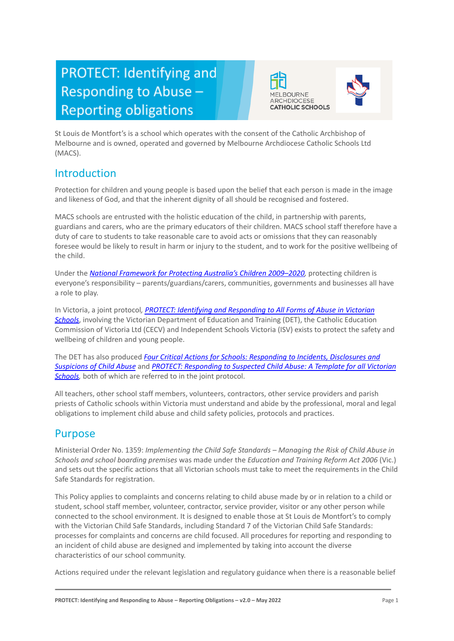# PROTECT: Identifying and Responding to Abuse -**Reporting obligations**





St Louis de Montfort's is a school which operates with the consent of the Catholic Archbishop of Melbourne and is owned, operated and governed by Melbourne Archdiocese Catholic Schools Ltd (MACS).

# Introduction

Protection for children and young people is based upon the belief that each person is made in the image and likeness of God, and that the inherent dignity of all should be recognised and fostered.

MACS schools are entrusted with the holistic education of the child, in partnership with parents, guardians and carers, who are the primary educators of their children. MACS school staff therefore have a duty of care to students to take reasonable care to avoid acts or omissions that they can reasonably foresee would be likely to result in harm or injury to the student, and to work for the positive wellbeing of the child.

Under the *[National Framework for Protecting Australia's](https://www.dss.gov.au/our-responsibilities/families-and-children/publications-articles/protecting-children-is-everyones-business) Children 2009–2020,* protecting children is everyone's responsibility – parents/guardians/carers, communities, governments and businesses all have a role to play.

In Victoria, a joint protocol*, PROTECT: Identifying [and Responding to All Forms of Abuse in Victorian](http://www.education.vic.gov.au/Documents/about/programs/health/protect/ChildSafeStandard5_SchoolsGuide.pdf) [Schools](http://www.education.vic.gov.au/Documents/about/programs/health/protect/ChildSafeStandard5_SchoolsGuide.pdf)*, involving the Victorian Department of Education and Training (DET), the Catholic Education Commission of Victoria Ltd (CECV) and Independent Schools Victoria (ISV) exists to protect the safety and wellbeing of children and young people.

The DET has also produced *Four Critical Actions for [Schools: Responding to Incidents, Disclosures and](http://www.education.vic.gov.au/Documents/about/programs/health/protect/FourCriticalActions_ChildAbuse.pdf) [Suspicions of Child Abuse](http://www.education.vic.gov.au/Documents/about/programs/health/protect/FourCriticalActions_ChildAbuse.pdf)* and *PROTECT: Responding [to Suspected Child Abuse: A Template for all Victorian](http://www.education.vic.gov.au/Documents/about/programs/health/protect/PROTECT_Responding_TemplateSchools.pdf) [Schools,](http://www.education.vic.gov.au/Documents/about/programs/health/protect/PROTECT_Responding_TemplateSchools.pdf)* both of which are referred to in the joint protocol.

All teachers, other school staff members, volunteers, contractors, other service providers and parish priests of Catholic schools within Victoria must understand and abide by the professional, moral and legal obligations to implement child abuse and child safety policies, protocols and practices.

# Purpose

Ministerial Order No. 1359: *Implementing the Child Safe Standards – Managing the Risk of Child Abuse in Schools and school boarding premises* was made under the *Education and Training Reform Act 2006* (Vic.) and sets out the specific actions that all Victorian schools must take to meet the requirements in the Child Safe Standards for registration.

This Policy applies to complaints and concerns relating to child abuse made by or in relation to a child or student, school staff member, volunteer, contractor, service provider, visitor or any other person while connected to the school environment. It is designed to enable those at St Louis de Montfort's to comply with the Victorian Child Safe Standards, including Standard 7 of the Victorian Child Safe Standards: processes for complaints and concerns are child focused. All procedures for reporting and responding to an incident of child abuse are designed and implemented by taking into account the diverse characteristics of our school community.

Actions required under the relevant legislation and regulatory guidance when there is a reasonable belief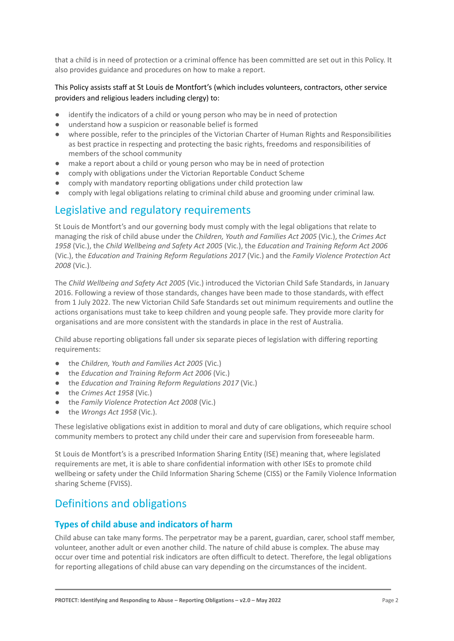that a child is in need of protection or a criminal offence has been committed are set out in this Policy. It also provides guidance and procedures on how to make a report.

# This Policy assists staff at St Louis de Montfort's (which includes volunteers, contractors, other service providers and religious leaders including clergy) to:

- identify the indicators of a child or young person who may be in need of protection
- understand how a suspicion or reasonable belief is formed
- where possible, refer to the principles of the Victorian Charter of Human Rights and Responsibilities as best practice in respecting and protecting the basic rights, freedoms and responsibilities of members of the school community
- make a report about a child or young person who may be in need of protection
- comply with obligations under the Victorian Reportable Conduct Scheme
- comply with mandatory reporting obligations under child protection law
- comply with legal obligations relating to criminal child abuse and grooming under criminal law.

# Legislative and regulatory requirements

St Louis de Montfort's and our governing body must comply with the legal obligations that relate to managing the risk of child abuse under the *Children, Youth and Families Act 2005* (Vic.), the *Crimes Act 1958* (Vic.), the *Child Wellbeing and Safety Act 2005* (Vic.), the *Education and Training Reform Act 2006* (Vic.), the *Education and Training Reform Regulations 2017* (Vic.) and the *Family Violence Protection Act 2008* (Vic.).

The *Child Wellbeing and Safety Act 2005* (Vic.) introduced the Victorian Child Safe Standards, in January 2016. Following a review of those standards, changes have been made to those standards, with effect from 1 July 2022. The new Victorian Child Safe Standards set out minimum requirements and outline the actions organisations must take to keep children and young people safe. They provide more clarity for organisations and are more consistent with the standards in place in the rest of Australia.

Child abuse reporting obligations fall under six separate pieces of legislation with differing reporting requirements:

- the *Children, Youth and Families Act 2005* (Vic.)
- the *Education and Training Reform Act 2006* (Vic.)
- the *Education and Training Reform Regulations 2017* (Vic.)
- the *Crimes Act 1958* (Vic.)
- the *Family Violence Protection Act 2008* (Vic.)
- the *Wrongs Act 1958* (Vic.).

These legislative obligations exist in addition to moral and duty of care obligations, which require school community members to protect any child under their care and supervision from foreseeable harm.

St Louis de Montfort's is a prescribed Information Sharing Entity (ISE) meaning that, where legislated requirements are met, it is able to share confidential information with other ISEs to promote child wellbeing or safety under the Child Information Sharing Scheme (CISS) or the Family Violence Information sharing Scheme (FVISS).

# Definitions and obligations

# **Types of child abuse and indicators of harm**

Child abuse can take many forms. The perpetrator may be a parent, guardian, carer, school staff member, volunteer, another adult or even another child. The nature of child abuse is complex. The abuse may occur over time and potential risk indicators are often difficult to detect. Therefore, the legal obligations for reporting allegations of child abuse can vary depending on the circumstances of the incident.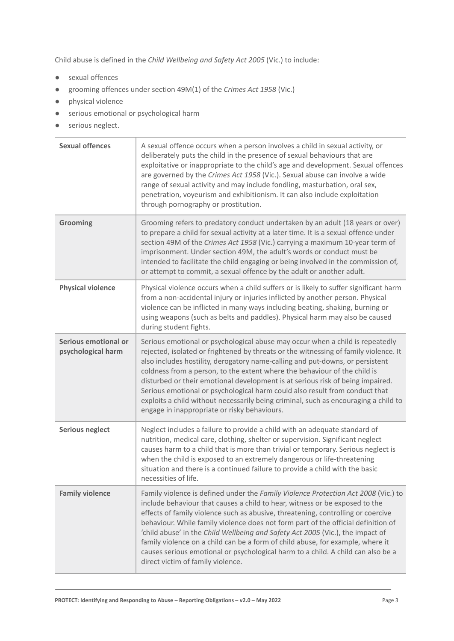Child abuse is defined in the *Child Wellbeing and Safety Act 2005* (Vic.) to include:

- sexual offences
- grooming offences under section 49M(1) of the *Crimes Act 1958* (Vic.)
- physical violence
- serious emotional or psychological harm
- serious neglect.

| <b>Sexual offences</b>                     | A sexual offence occurs when a person involves a child in sexual activity, or<br>deliberately puts the child in the presence of sexual behaviours that are<br>exploitative or inappropriate to the child's age and development. Sexual offences<br>are governed by the Crimes Act 1958 (Vic.). Sexual abuse can involve a wide<br>range of sexual activity and may include fondling, masturbation, oral sex,<br>penetration, voyeurism and exhibitionism. It can also include exploitation<br>through pornography or prostitution.                                                                                                          |
|--------------------------------------------|---------------------------------------------------------------------------------------------------------------------------------------------------------------------------------------------------------------------------------------------------------------------------------------------------------------------------------------------------------------------------------------------------------------------------------------------------------------------------------------------------------------------------------------------------------------------------------------------------------------------------------------------|
| Grooming                                   | Grooming refers to predatory conduct undertaken by an adult (18 years or over)<br>to prepare a child for sexual activity at a later time. It is a sexual offence under<br>section 49M of the Crimes Act 1958 (Vic.) carrying a maximum 10-year term of<br>imprisonment. Under section 49M, the adult's words or conduct must be<br>intended to facilitate the child engaging or being involved in the commission of,<br>or attempt to commit, a sexual offence by the adult or another adult.                                                                                                                                               |
| <b>Physical violence</b>                   | Physical violence occurs when a child suffers or is likely to suffer significant harm<br>from a non-accidental injury or injuries inflicted by another person. Physical<br>violence can be inflicted in many ways including beating, shaking, burning or<br>using weapons (such as belts and paddles). Physical harm may also be caused<br>during student fights.                                                                                                                                                                                                                                                                           |
| Serious emotional or<br>psychological harm | Serious emotional or psychological abuse may occur when a child is repeatedly<br>rejected, isolated or frightened by threats or the witnessing of family violence. It<br>also includes hostility, derogatory name-calling and put-downs, or persistent<br>coldness from a person, to the extent where the behaviour of the child is<br>disturbed or their emotional development is at serious risk of being impaired.<br>Serious emotional or psychological harm could also result from conduct that<br>exploits a child without necessarily being criminal, such as encouraging a child to<br>engage in inappropriate or risky behaviours. |
| <b>Serious neglect</b>                     | Neglect includes a failure to provide a child with an adequate standard of<br>nutrition, medical care, clothing, shelter or supervision. Significant neglect<br>causes harm to a child that is more than trivial or temporary. Serious neglect is<br>when the child is exposed to an extremely dangerous or life-threatening<br>situation and there is a continued failure to provide a child with the basic<br>necessities of life.                                                                                                                                                                                                        |
| <b>Family violence</b>                     | Family violence is defined under the Family Violence Protection Act 2008 (Vic.) to<br>include behaviour that causes a child to hear, witness or be exposed to the<br>effects of family violence such as abusive, threatening, controlling or coercive<br>behaviour. While family violence does not form part of the official definition of<br>'child abuse' in the Child Wellbeing and Safety Act 2005 (Vic.), the impact of<br>family violence on a child can be a form of child abuse, for example, where it<br>causes serious emotional or psychological harm to a child. A child can also be a<br>direct victim of family violence.     |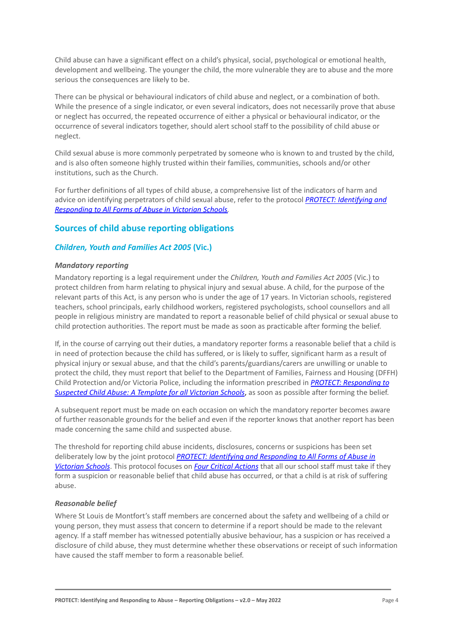Child abuse can have a significant effect on a child's physical, social, psychological or emotional health, development and wellbeing. The younger the child, the more vulnerable they are to abuse and the more serious the consequences are likely to be.

There can be physical or behavioural indicators of child abuse and neglect, or a combination of both. While the presence of a single indicator, or even several indicators, does not necessarily prove that abuse or neglect has occurred, the repeated occurrence of either a physical or behavioural indicator, or the occurrence of several indicators together, should alert school staff to the possibility of child abuse or neglect.

Child sexual abuse is more commonly perpetrated by someone who is known to and trusted by the child, and is also often someone highly trusted within their families, communities, schools and/or other institutions, such as the Church.

For further definitions of all types of child abuse, a comprehensive list of the indicators of harm and advice on identifying perpetrators of child sexual abuse, refer to the protocol *[PROTECT: Identifying](https://www.education.vic.gov.au/Documents/about/programs/health/protect/ChildSafeStandard5_SchoolsGuide.pdf) and [Responding to All Forms of Abuse in Victorian Schools](https://www.education.vic.gov.au/Documents/about/programs/health/protect/ChildSafeStandard5_SchoolsGuide.pdf)[.](http://www.education.vic.gov.au/Documents/about/programs/health/protect/ChildSafeStandard5_SchoolsGuide.pdf)*

# **Sources of child abuse reporting obligations**

# *Children, Youth and Families Act 2005* **(Vic.)**

#### *Mandatory reporting*

Mandatory reporting is a legal requirement under the *Children, Youth and Families Act 2005* (Vic.) to protect children from harm relating to physical injury and sexual abuse. A child, for the purpose of the relevant parts of this Act, is any person who is under the age of 17 years. In Victorian schools, registered teachers, school principals, early childhood workers, registered psychologists, school counsellors and all people in religious ministry are mandated to report a reasonable belief of child physical or sexual abuse to child protection authorities. The report must be made as soon as practicable after forming the belief.

If, in the course of carrying out their duties, a mandatory reporter forms a reasonable belief that a child is in need of protection because the child has suffered, or is likely to suffer, significant harm as a result of physical injury or sexual abuse, and that the child's parents/guardians/carers are unwilling or unable to protect the child, they must report that belief to the Department of Families, Fairness and Housing (DFFH) Child Protection and/or Victoria Police, including the information prescribed in *[PROTECT: Responding](http://www.education.vic.gov.au/Documents/about/programs/health/protect/PROTECT_Responding_TemplateSchools.pdf) to [Suspected Child Abuse: A Template for all Victorian Schools](http://www.education.vic.gov.au/Documents/about/programs/health/protect/PROTECT_Responding_TemplateSchools.pdf)*, as soon as possible after forming the belief.

A subsequent report must be made on each occasion on which the mandatory reporter becomes aware of further reasonable grounds for the belief and even if the reporter knows that another report has been made concerning the same child and suspected abuse.

The threshold for reporting child abuse incidents, disclosures, concerns or suspicions has been set deliberately low by the joint protocol *PROTECT: Identifying [and Responding to All Forms of Abuse in](http://www.education.vic.gov.au/Documents/about/programs/health/protect/ChildSafeStandard5_SchoolsGuide.pdf) [Victorian Schools](http://www.education.vic.gov.au/Documents/about/programs/health/protect/ChildSafeStandard5_SchoolsGuide.pdf)*. This protocol focuses on *[Four Critical](http://www.education.vic.gov.au/Documents/about/programs/health/protect/FourCriticalActions_ChildAbuse.pdf) Actions* that all our school staff must take if they form a suspicion or reasonable belief that child abuse has occurred, or that a child is at risk of suffering abuse.

# <span id="page-3-0"></span>*Reasonable belief*

Where St Louis de Montfort's staff members are concerned about the safety and wellbeing of a child or young person, they must assess that concern to determine if a report should be made to the relevant agency. If a staff member has witnessed potentially abusive behaviour, has a suspicion or has received a disclosure of child abuse, they must determine whether these observations or receipt of such information have caused the staff member to form a reasonable belief.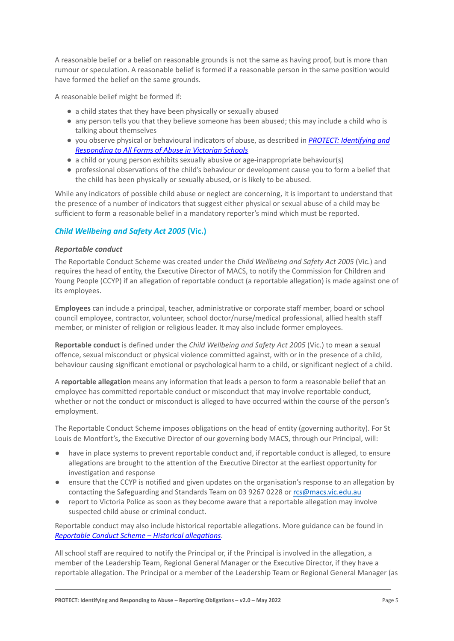A reasonable belief or a belief on reasonable grounds is not the same as having proof, but is more than rumour or speculation. A reasonable belief is formed if a reasonable person in the same position would have formed the belief on the same grounds.

A reasonable belief might be formed if:

- a child states that they have been physically or sexually abused
- any person tells you that they believe someone has been abused; this may include a child who is talking about themselves
- you observe physical or behavioural indicators of abuse, as described in *[PROTECT: Identifying and](http://www.education.vic.gov.au/Documents/about/programs/health/protect/ChildSafeStandard5_SchoolsGuide.pdf) [Responding to All Forms of Abuse in Victorian Schools](http://www.education.vic.gov.au/Documents/about/programs/health/protect/ChildSafeStandard5_SchoolsGuide.pdf)*
- a child or young person exhibits sexually abusive or age-inappropriate behaviour(s)
- professional observations of the child's behaviour or development cause you to form a belief that the child has been physically or sexually abused, or is likely to be abused.

While any indicators of possible child abuse or neglect are concerning, it is important to understand that the presence of a number of indicators that suggest either physical or sexual abuse of a child may be sufficient to form a reasonable belief in a mandatory reporter's mind which must be reported.

# *Child Wellbeing and Safety Act 2005* **(Vic.)**

#### *Reportable conduct*

The Reportable Conduct Scheme was created under the *Child Wellbeing and Safety Act 2005* (Vic.) and requires the head of entity, the Executive Director of MACS, to notify the Commission for Children and Young People (CCYP) if an allegation of reportable conduct (a reportable allegation) is made against one of its employees.

**Employees** can include a principal, teacher, administrative or corporate staff member, board or school council employee, contractor, volunteer, school doctor/nurse/medical professional, allied health staff member, or minister of religion or religious leader. It may also include former employees.

**Reportable conduct** is defined under the *Child Wellbeing and Safety Act 2005* (Vic.) to mean a sexual offence, sexual misconduct or physical violence committed against, with or in the presence of a child, behaviour causing significant emotional or psychological harm to a child, or significant neglect of a child.

A **reportable allegation** means any information that leads a person to form a reasonable belief that an employee has committed reportable conduct or misconduct that may involve reportable conduct, whether or not the conduct or misconduct is alleged to have occurred within the course of the person's employment.

The Reportable Conduct Scheme imposes obligations on the head of entity (governing authority). For St Louis de Montfort's, the Executive Director of our governing body MACS, through our Principal, will:

- have in place systems to prevent reportable conduct and, if reportable conduct is alleged, to ensure allegations are brought to the attention of the Executive Director at the earliest opportunity for investigation and response
- ensure that the CCYP is notified and given updates on the organisation's response to an allegation by contacting the Safeguarding and Standards Team on 03 9267 0228 or [rcs@macs.vic.edu.au](mailto:rcs@macs.vic.edu.au)
- report to Victoria Police as soon as they become aware that a reportable allegation may involve suspected child abuse or criminal conduct.

Reportable conduct may also include historical reportable allegations. More guidance can be found in *[Reportable Conduct Scheme – Historical allegations](https://ccyp.vic.gov.au/assets/resources/RCSInfoSheetUpdates/Historical-Allegations-110718.pdf)*.

All school staff are required to notify the Principal or, if the Principal is involved in the allegation, a member of the Leadership Team, Regional General Manager or the Executive Director, if they have a reportable allegation. The Principal or a member of the Leadership Team or Regional General Manager (as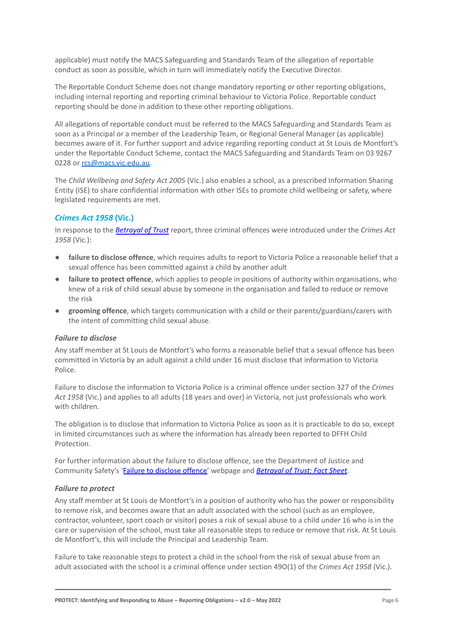applicable) must notify the MACS Safeguarding and Standards Team of the allegation of reportable conduct as soon as possible, which in turn will immediately notify the Executive Director.

The Reportable Conduct Scheme does not change mandatory reporting or other reporting obligations, including internal reporting and reporting criminal behaviour to Victoria Police. Reportable conduct reporting should be done in addition to these other reporting obligations.

All allegations of reportable conduct must be referred to the MACS Safeguarding and Standards Team as soon as a Principal or a member of the Leadership Team, or Regional General Manager (as applicable) becomes aware of it. For further support and advice regarding reporting conduct at St Louis de Montfort's under the Reportable Conduct Scheme, contact the MACS Safeguarding and Standards Team on 03 9267 0228 or [rcs@macs.vic.edu.au.](mailto:rcs@macs.vic.edu.au)

The *Child Wellbeing and Safety Act 2005* (Vic.) also enables a school, as a prescribed Information Sharing Entity (ISE) to share confidential information with other ISEs to promote child wellbeing or safety, where legislated requirements are met.

# *Crimes Act 1958* **(Vic.)**

In response to the *[Betrayal of Trust](http://www.parliament.vic.gov.au/file_uploads/Inquiry_into_Handling_of_Abuse_Volume_2_FINAL_web_y78t3Wpb.pdf)* report, three criminal offences were introduced under the *Crimes Act 1958* (Vic.):

- **[failure to disclose offence](http://www.justice.vic.gov.au/home/safer%2Bcommunities/protecting%2Bchildren%2Band%2Bfamilies/failure%2Bto%2Bdisclose%2Boffence)**, which requires adults to report to Victoria Police a reasonable belief that a sexual offence has been committed against a child by another adult
- [failure to protect offence](http://www.justice.vic.gov.au/home/safer%2Bcommunities/protecting%2Bchildren%2Band%2Bfamilies/failure%2Bto%2Bprotect%2Boffence), which applies to people in positions of authority within organisations, who knew of a risk of child sexual abuse by someone in the organisation and failed to reduce or remove the risk
- **[grooming offence](http://www.justice.vic.gov.au/home/safer%2Bcommunities/protecting%2Bchildren%2Band%2Bfamilies/grooming%2Boffence)**, which targets communication with a child or their parents/guardians/carers with the intent of committing child sexual abuse.

# <span id="page-5-0"></span>*Failure to disclose*

Any staff member at St Louis de Montfort's who forms a reasonable belief that a sexual offence has been committed in Victoria by an adult against a child under 16 must disclose that information to Victoria Police.

Failure to disclose the information to Victoria Police is a criminal offence under section 327 of the *Crimes Act 1958* (Vic.) and applies to all adults (18 years and over) in Victoria, not just professionals who work with children.

The obligation is to disclose that information to Victoria Police as soon as it is practicable to do so, except in limited circumstances such as where the information has already been reported to DFFH Child Protection.

For further information about the failure to disclose offence, see the Department of Justice and Community Safety's ['Failure to disclose offence](https://www.justice.vic.gov.au/safer-communities/protecting-children-and-families/failure-to-disclose-offence)' webpage and *[Betrayal of Trust: Fact Sheet](https://www.justice.vic.gov.au/sites/default/files/embridge_cache/emshare/original/public/2020/06/c5/7f42d28f3/betrayal_of_trust-organisational_duty_fact_sheet_2018%20.doc)*.

# *Failure to protect*

Any staff member at St Louis de Montfort's in a position of authority who has the power or responsibility to remove risk, and becomes aware that an adult associated with the school (such as an employee, contractor, volunteer, sport coach or visitor) poses a risk of sexual abuse to a child under 16 who is in the care or supervision of the school, must take all reasonable steps to reduce or remove that risk. At St Louis de Montfort's, this will include the Principal and Leadership Team.

Failure to take reasonable steps to protect a child in the school from the risk of sexual abuse from an adult associated with the school is a criminal offence under section 49O(1) of the *Crimes Act 1958* (Vic.).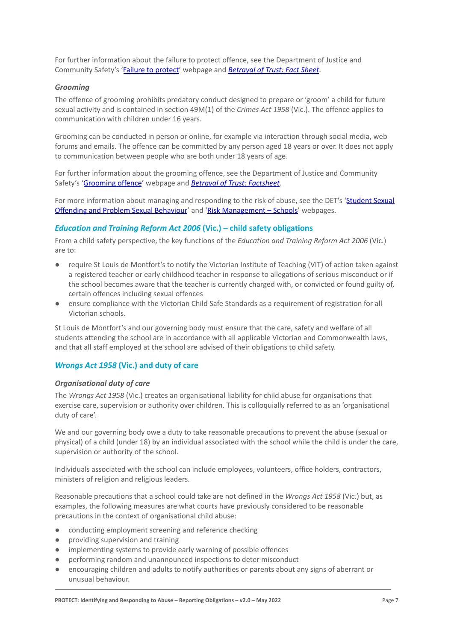For further information about the failure to protect offence, see the Department of Justice and Community Safety's ['Failure to protect'](https://www.justice.vic.gov.au/safer-communities/protecting-children-and-families/failure-to-protect-a-new-criminal-offence-to) webpage and *[Betrayal of Trust: Fact Sheet](https://www.justice.vic.gov.au/sites/default/files/embridge_cache/emshare/original/public/2020/06/e0/4460c5147/failure_to_protect_betrayal_of_trust_factsheet_2017.pdf)*.

#### *Grooming*

The offence of grooming prohibits predatory conduct designed to prepare or 'groom' a child for future sexual activity and is contained in section 49M(1) of the *Crimes Act 1958* (Vic.). The offence applies to communication with children under 16 years.

Grooming can be conducted in person or online, for example via interaction through social media, web forums and emails. The offence can be committed by any person aged 18 years or over. It does not apply to communication between people who are both under 18 years of age.

For further information about the grooming offence, see the Department of Justice and Community Safety's ['Grooming offence](https://www.justice.vic.gov.au/safer-communities/protecting-children-and-families/grooming-offence)' webpage and *Betrayal of [Trust: Factsheet](https://www.justice.vic.gov.au/sites/default/files/embridge_cache/emshare/original/public/2020/06/e6/ea73d4b66/grooming_betrayal_of_trust_factsheet_2017.pdf)*.

For more information about managing and responding to the risk of abuse, see the DET's '[Student Sexual](https://www2.education.vic.gov.au/pal/student-sexual-behaviours/policy) [Offending and Problem Sexual Behaviour](https://www2.education.vic.gov.au/pal/student-sexual-behaviours/policy)' and 'Risk [Management – Schools](https://www2.education.vic.gov.au/pal/risk-management-schools/policy)' webpages.

# *Education and Training Reform Act 2006* **(Vic.) – child safety obligations**

From a child safety perspective, the key functions of the *Education and Training Reform Act 2006* (Vic.) are to:

- require St Louis de Montfort's to notify the Victorian Institute of Teaching (VIT) of action taken against a registered teacher or early childhood teacher in response to allegations of serious misconduct or if the school becomes aware that the teacher is currently charged with, or convicted or found guilty of, certain offences including sexual offences
- ensure compliance with the Victorian Child Safe Standards as a requirement of registration for all Victorian schools.

St Louis de Montfort's and our governing body must ensure that the care, safety and welfare of all students attending the school are in accordance with all applicable Victorian and Commonwealth laws, and that all staff employed at the school are advised of their obligations to child safety.

# *Wrongs Act 1958* **(Vic.) and duty of care**

#### *Organisational duty of care*

The *Wrongs Act 1958* (Vic.) creates an organisational liability for child abuse for organisations that exercise care, supervision or authority over children. This is colloquially referred to as an 'organisational duty of care'.

We and our governing body owe a duty to take reasonable precautions to prevent the abuse (sexual or physical) of a child (under 18) by an individual associated with the school while the child is under the care, supervision or authority of the school.

Individuals associated with the school can include employees, volunteers, office holders, contractors, ministers of religion and religious leaders.

Reasonable precautions that a school could take are not defined in the *Wrongs Act 1958* (Vic.) but, as examples, the following measures are what courts have previously considered to be reasonable precautions in the context of organisational child abuse:

- conducting employment screening and reference checking
- providing supervision and training
- implementing systems to provide early warning of possible offences
- performing random and unannounced inspections to deter misconduct
- encouraging children and adults to notify authorities or parents about any signs of aberrant or unusual behaviour.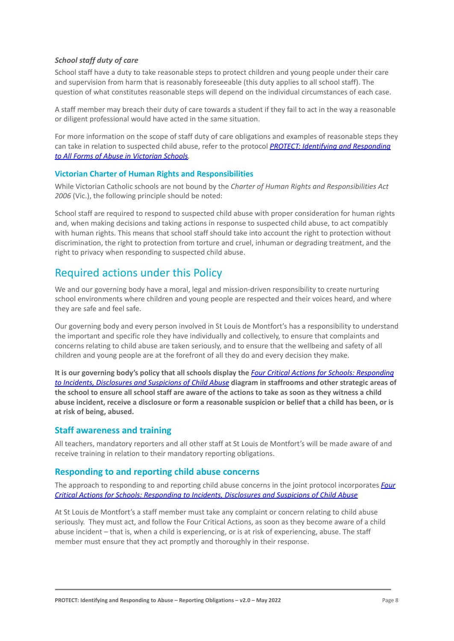# *School staff duty of care*

School staff have a duty to take reasonable steps to protect children and young people under their care and supervision from harm that is reasonably foreseeable (this duty applies to all school staff). The question of what constitutes reasonable steps will depend on the individual circumstances of each case.

A staff member may breach their duty of care towards a student if they fail to act in the way a reasonable or diligent professional would have acted in the same situation.

For more information on the scope of staff duty of care obligations and examples of reasonable steps they can take in relation to suspected child abuse, refer to the protocol *[PROTECT: Identifying and Responding](http://www.education.vic.gov.au/Documents/about/programs/health/protect/ChildSafeStandard5_SchoolsGuide.pdf) [to All Forms of Abuse in Victorian Schools.](http://www.education.vic.gov.au/Documents/about/programs/health/protect/ChildSafeStandard5_SchoolsGuide.pdf)*

# **Victorian Charter of Human Rights and Responsibilities**

While Victorian Catholic schools are not bound by the *Charter of Human Rights and Responsibilities Act 2006* (Vic.), the following principle should be noted:

School staff are required to respond to suspected child abuse with proper consideration for human rights and, when making decisions and taking actions in response to suspected child abuse, to act compatibly with human rights. This means that school staff should take into account the right to protection without discrimination, the right to protection from torture and cruel, inhuman or degrading treatment, and the right to privacy when responding to suspected child abuse.

# Required actions under this Policy

We and our governing body have a moral, legal and mission-driven responsibility to create nurturing school environments where children and young people are respected and their voices heard, and where they are safe and feel safe.

Our governing body and every person involved in St Louis de Montfort's has a responsibility to understand the important and specific role they have individually and collectively, to ensure that complaints and concerns relating to child abuse are taken seriously, and to ensure that the wellbeing and safety of all children and young people are at the forefront of all they do and every decision they make.

**It is our governing body's policy that all schools display the** *[Four Critical Actions for Schools: Responding](http://www.education.vic.gov.au/Documents/about/programs/health/protect/FourCriticalActions_ChildAbuse.pdf) [to Incidents, Disclosures and Suspicions of Child Abuse](http://www.education.vic.gov.au/Documents/about/programs/health/protect/FourCriticalActions_ChildAbuse.pdf)* **diagram in staffrooms and other strategic areas of the school to ensure all school staff are aware of the actions to take as soon as they witness a child abuse incident, receive a disclosure or form a reasonable suspicion or belief that a child has been, or is at risk of being, abused.**

# **Staff awareness and training**

All teachers, mandatory reporters and all other staff at St Louis de Montfort's will be made aware of and receive training in relation to their mandatory reporting obligations.

# **Responding to and reporting child abuse concerns**

The approach to responding to and reporting child abuse concerns in the joint protocol incorporates *[Four](http://www.education.vic.gov.au/Documents/about/programs/health/protect/FourCriticalActions_ChildAbuse.pdf) [Critical Actions for Schools: Responding to Incidents, Disclosures and Suspicions of Child Abuse](http://www.education.vic.gov.au/Documents/about/programs/health/protect/FourCriticalActions_ChildAbuse.pdf)*

At St Louis de Montfort's a staff member must take any complaint or concern relating to child abuse seriously. They must act, and follow the Four Critical Actions, as soon as they become aware of a child abuse incident – that is, when a child is experiencing, or is at risk of experiencing, abuse. The staff member must ensure that they act promptly and thoroughly in their response.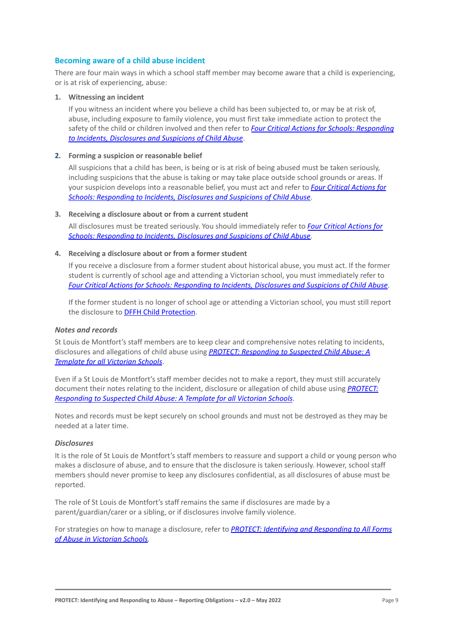# **Becoming aware of a child abuse incident**

There are four main ways in which a school staff member may become aware that a child is experiencing, or is at risk of experiencing, abuse:

#### **1. Witnessing an incident**

If you witness an incident where you believe a child has been subjected to, or may be at risk of, abuse, including exposure to family violence, you must first take immediate action to protect the safety of the child or children involved and then refer to *[Four Critical Actions for Schools: Responding](http://www.education.vic.gov.au/Documents/about/programs/health/protect/FourCriticalActions_ChildAbuse.pdf) [to Incidents, Disclosures and Suspicions of Child Abuse](http://www.education.vic.gov.au/Documents/about/programs/health/protect/FourCriticalActions_ChildAbuse.pdf)*.

#### **2. Forming a suspicion or reasonable belief**

All suspicions that a child has been, is being or is at risk of being abused must be taken seriously, including suspicions that the abuse is taking or may take place outside school grounds or areas. If your suspicion develops into a reasonable belief, you must act and refer to *[Four Critical Actions for](http://www.education.vic.gov.au/Documents/about/programs/health/protect/FourCriticalActions_ChildAbuse.pdf) [Schools: Responding to Incidents, Disclosures and Suspicions of Child Abuse](http://www.education.vic.gov.au/Documents/about/programs/health/protect/FourCriticalActions_ChildAbuse.pdf)*.

#### **3. Receiving a disclosure about or from a current student**

All disclosures must be treated seriously. You should immediately refer to *[Four Critical Actions for](http://www.education.vic.gov.au/Documents/about/programs/health/protect/FourCriticalActions_ChildAbuse.pdf) [Schools: Responding to Incidents, Disclosures and Suspicions of Child Abuse](http://www.education.vic.gov.au/Documents/about/programs/health/protect/FourCriticalActions_ChildAbuse.pdf)*.

#### **4. Receiving a disclosure about or from a former student**

If you receive a disclosure from a former student about historical abuse, you must act. If the former student is currently of school age and attending a Victorian school, you must immediately refer to *[Four Critical Actions for Schools: Responding to Incidents, Disclosures and Suspicions of Child Abuse](http://www.education.vic.gov.au/Documents/about/programs/health/protect/FourCriticalActions_ChildAbuse.pdf)*.

If the former student is no longer of school age or attending a Victorian school, you must still report the disclosure to **[DFFH Child Protection](https://www.education.vic.gov.au/about/contact/Pages/reportingabuse.aspx)**[.](http://www.education.vic.gov.au/about/contact/Pages/reportingabuse.aspx?Redirect=1)

#### *Notes and records*

St Louis de Montfort's staff members are to keep clear and comprehensive notes relating to incidents, disclosures and allegations of child abuse using *PROTECT: [Responding to Suspected Child Abuse: A](http://www.education.vic.gov.au/Documents/about/programs/health/protect/PROTECT_Responding_TemplateSchools.pdf) [Template for all Victorian Schools](http://www.education.vic.gov.au/Documents/about/programs/health/protect/PROTECT_Responding_TemplateSchools.pdf)*.

Even if a St Louis de Montfort's staff member decides not to make a report, they must still accurately document their notes relating to the incident, disclosure or allegation of child abuse using *[PROTECT:](http://www.education.vic.gov.au/Documents/about/programs/health/protect/PROTECT_Responding_TemplateSchools.pdf) [Responding to Suspected Child Abuse: A Template for all Victorian Schools](http://www.education.vic.gov.au/Documents/about/programs/health/protect/PROTECT_Responding_TemplateSchools.pdf)*.

Notes and records must be kept securely on school grounds and must not be destroyed as they may be needed at a later time.

#### *Disclosures*

It is the role of St Louis de Montfort's staff members to reassure and support a child or young person who makes a disclosure of abuse, and to ensure that the disclosure is taken seriously. However, school staff members should never promise to keep any disclosures confidential, as all disclosures of abuse must be reported.

The role of St Louis de Montfort's staff remains the same if disclosures are made by a parent/guardian/carer or a sibling, or if disclosures involve family violence.

For strategies on how to manage a disclosure, refer to *[PROTECT: Identifying and Responding to All Forms](http://www.education.vic.gov.au/Documents/about/programs/health/protect/ChildSafeStandard5_SchoolsGuide.pdf) [of Abuse in Victorian Schools.](http://www.education.vic.gov.au/Documents/about/programs/health/protect/ChildSafeStandard5_SchoolsGuide.pdf)*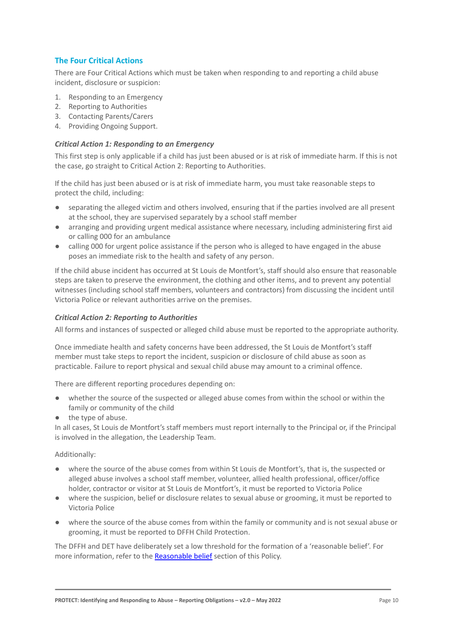# **The Four Critical Actions**

There are Four Critical Actions which must be taken when responding to and reporting a child abuse incident, disclosure or suspicion:

- 1. Responding to an Emergency
- 2. Reporting to Authorities
- 3. Contacting Parents/Carers
- 4. Providing Ongoing Support.

#### *Critical Action 1: Responding to an Emergency*

This first step is only applicable if a child has just been abused or is at risk of immediate harm. If this is not the case, go straight to Critical Action 2: Reporting to Authorities.

If the child has just been abused or is at risk of immediate harm, you must take reasonable steps to protect the child, including:

- separating the alleged victim and others involved, ensuring that if the parties involved are all present at the school, they are supervised separately by a school staff member
- arranging and providing urgent medical assistance where necessary, including administering first aid or calling 000 for an ambulance
- calling 000 for urgent police assistance if the person who is alleged to have engaged in the abuse poses an immediate risk to the health and safety of any person.

If the child abuse incident has occurred at St Louis de Montfort's, staff should also ensure that reasonable steps are taken to preserve the environment, the clothing and other items, and to prevent any potential witnesses (including school staff members, volunteers and contractors) from discussing the incident until Victoria Police or relevant authorities arrive on the premises.

# *Critical Action 2: Reporting to Authorities*

All forms and instances of suspected or alleged child abuse must be reported to the appropriate authority.

Once immediate health and safety concerns have been addressed, the St Louis de Montfort's staff member must take steps to report the incident, suspicion or disclosure of child abuse as soon as practicable. Failure to report physical and sexual child abuse may amount to a criminal offence.

There are different reporting procedures depending on:

- whether the source of the suspected or alleged abuse comes from within the school or within the family or community of the child
- the type of abuse.

In all cases, St Louis de Montfort's staff members must report internally to the Principal or, if the Principal is involved in the allegation, the Leadership Team.

#### Additionally:

- where the source of the abuse comes from within St Louis de Montfort's, that is, the suspected or alleged abuse involves a school staff member, volunteer, allied health professional, officer/office holder, contractor or visitor at St Louis de Montfort's, it must be reported to Victoria Police
- where the suspicion, belief or disclosure relates to sexual abuse or grooming, it must be reported to Victoria Police
- where the source of the abuse comes from within the family or community and is not sexual abuse or grooming, it must be reported to DFFH Child Protection.

The DFFH and DET have deliberately set a low threshold for the formation of a 'reasonable belief'. For more information, refer to the [Reasonable belief](#page-3-0) section of this Policy.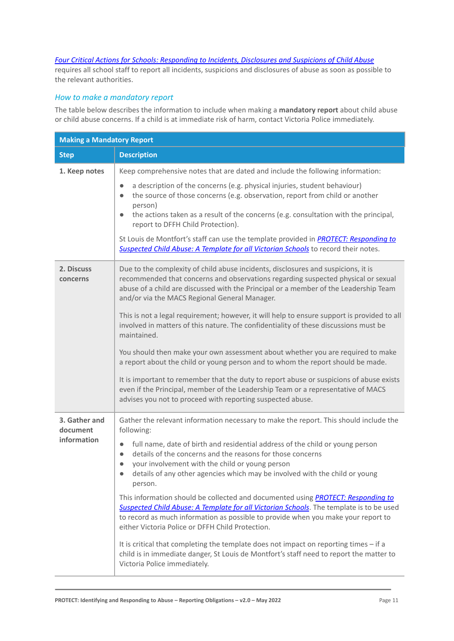# *[Four Critical Actions for Schools: Responding to Incidents, Disclosures and Suspicions of Child Abuse](http://www.education.vic.gov.au/Documents/about/programs/health/protect/FourCriticalActions_ChildAbuse.pdf)*

requires all school staff to report all incidents, suspicions and disclosures of abuse as soon as possible to the relevant authorities.

# *How to make a mandatory report*

The table below describes the information to include when making a **mandatory report** about child abuse or child abuse concerns. If a child is at immediate risk of harm, contact Victoria Police immediately.

| <b>Making a Mandatory Report</b> |                                                                                                                                                                                                                                                                                                                             |  |
|----------------------------------|-----------------------------------------------------------------------------------------------------------------------------------------------------------------------------------------------------------------------------------------------------------------------------------------------------------------------------|--|
| <b>Step</b>                      | <b>Description</b>                                                                                                                                                                                                                                                                                                          |  |
| 1. Keep notes                    | Keep comprehensive notes that are dated and include the following information:                                                                                                                                                                                                                                              |  |
|                                  | a description of the concerns (e.g. physical injuries, student behaviour)<br>$\bullet$<br>the source of those concerns (e.g. observation, report from child or another<br>$\bullet$<br>person)                                                                                                                              |  |
|                                  | the actions taken as a result of the concerns (e.g. consultation with the principal,<br>$\bullet$<br>report to DFFH Child Protection).                                                                                                                                                                                      |  |
|                                  | St Louis de Montfort's staff can use the template provided in PROTECT: Responding to<br>Suspected Child Abuse: A Template for all Victorian Schools to record their notes.                                                                                                                                                  |  |
| 2. Discuss<br>concerns           | Due to the complexity of child abuse incidents, disclosures and suspicions, it is<br>recommended that concerns and observations regarding suspected physical or sexual<br>abuse of a child are discussed with the Principal or a member of the Leadership Team<br>and/or via the MACS Regional General Manager.             |  |
|                                  | This is not a legal requirement; however, it will help to ensure support is provided to all<br>involved in matters of this nature. The confidentiality of these discussions must be<br>maintained.                                                                                                                          |  |
|                                  | You should then make your own assessment about whether you are required to make<br>a report about the child or young person and to whom the report should be made.                                                                                                                                                          |  |
|                                  | It is important to remember that the duty to report abuse or suspicions of abuse exists<br>even if the Principal, member of the Leadership Team or a representative of MACS<br>advises you not to proceed with reporting suspected abuse.                                                                                   |  |
| 3. Gather and<br>document        | Gather the relevant information necessary to make the report. This should include the<br>following:                                                                                                                                                                                                                         |  |
| information                      | full name, date of birth and residential address of the child or young person<br>$\bullet$<br>details of the concerns and the reasons for those concerns<br>$\bullet$<br>your involvement with the child or young person<br>$\bullet$                                                                                       |  |
|                                  | details of any other agencies which may be involved with the child or young<br>person.                                                                                                                                                                                                                                      |  |
|                                  | This information should be collected and documented using <b>PROTECT: Responding to</b><br>Suspected Child Abuse: A Template for all Victorian Schools. The template is to be used<br>to record as much information as possible to provide when you make your report to<br>either Victoria Police or DFFH Child Protection. |  |
|                                  | It is critical that completing the template does not impact on reporting times - if a<br>child is in immediate danger, St Louis de Montfort's staff need to report the matter to<br>Victoria Police immediately.                                                                                                            |  |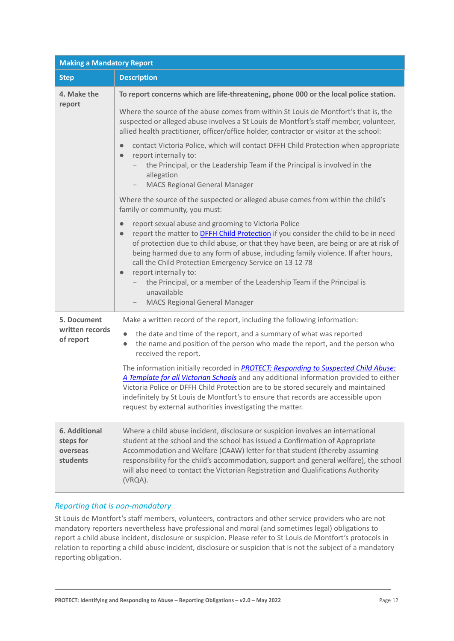| <b>Making a Mandatory Report</b>                          |                                                                                                                                                                                                                                                                                                                                                                                                                                                                                                                                    |  |
|-----------------------------------------------------------|------------------------------------------------------------------------------------------------------------------------------------------------------------------------------------------------------------------------------------------------------------------------------------------------------------------------------------------------------------------------------------------------------------------------------------------------------------------------------------------------------------------------------------|--|
| <b>Step</b>                                               | <b>Description</b>                                                                                                                                                                                                                                                                                                                                                                                                                                                                                                                 |  |
| 4. Make the                                               | To report concerns which are life-threatening, phone 000 or the local police station.                                                                                                                                                                                                                                                                                                                                                                                                                                              |  |
| report                                                    | Where the source of the abuse comes from within St Louis de Montfort's that is, the<br>suspected or alleged abuse involves a St Louis de Montfort's staff member, volunteer,<br>allied health practitioner, officer/office holder, contractor or visitor at the school:                                                                                                                                                                                                                                                            |  |
|                                                           | contact Victoria Police, which will contact DFFH Child Protection when appropriate<br>$\bullet$<br>report internally to:<br>$\bullet$<br>the Principal, or the Leadership Team if the Principal is involved in the<br>allegation<br><b>MACS Regional General Manager</b><br>$\qquad \qquad -$                                                                                                                                                                                                                                      |  |
|                                                           | Where the source of the suspected or alleged abuse comes from within the child's<br>family or community, you must:                                                                                                                                                                                                                                                                                                                                                                                                                 |  |
|                                                           | report sexual abuse and grooming to Victoria Police<br>$\bullet$<br>report the matter to <b>DFFH Child Protection</b> if you consider the child to be in need<br>$\bullet$<br>of protection due to child abuse, or that they have been, are being or are at risk of<br>being harmed due to any form of abuse, including family violence. If after hours,<br>call the Child Protection Emergency Service on 13 12 78<br>report internally to:<br>$\bullet$<br>the Principal, or a member of the Leadership Team if the Principal is |  |
|                                                           | unavailable<br><b>MACS Regional General Manager</b>                                                                                                                                                                                                                                                                                                                                                                                                                                                                                |  |
| 5. Document                                               | Make a written record of the report, including the following information:                                                                                                                                                                                                                                                                                                                                                                                                                                                          |  |
| written records<br>of report                              | the date and time of the report, and a summary of what was reported<br>the name and position of the person who made the report, and the person who<br>$\bullet$<br>received the report.                                                                                                                                                                                                                                                                                                                                            |  |
|                                                           | The information initially recorded in <b>PROTECT: Responding to Suspected Child Abuse:</b><br>A Template for all Victorian Schools and any additional information provided to either<br>Victoria Police or DFFH Child Protection are to be stored securely and maintained<br>indefinitely by St Louis de Montfort's to ensure that records are accessible upon<br>request by external authorities investigating the matter.                                                                                                        |  |
| <b>6. Additional</b><br>steps for<br>overseas<br>students | Where a child abuse incident, disclosure or suspicion involves an international<br>student at the school and the school has issued a Confirmation of Appropriate<br>Accommodation and Welfare (CAAW) letter for that student (thereby assuming<br>responsibility for the child's accommodation, support and general welfare), the school<br>will also need to contact the Victorian Registration and Qualifications Authority<br>(VRQA).                                                                                           |  |

# *Reporting that is non-mandatory*

St Louis de Montfort's staff members, volunteers, contractors and other service providers who are not mandatory reporters nevertheless have professional and moral (and sometimes legal) obligations to report a child abuse incident, disclosure or suspicion. Please refer to St Louis de Montfort's protocols in relation to reporting a child abuse incident, disclosure or suspicion that is not the subject of a mandatory reporting obligation.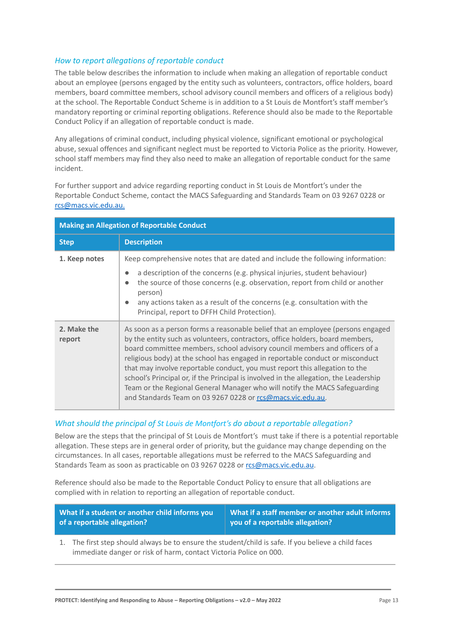# *How to report allegations of reportable conduct*

The table below describes the information to include when making an allegation of reportable conduct about an employee (persons engaged by the entity such as volunteers, contractors, office holders, board members, board committee members, school advisory council members and officers of a religious body) at the school. The Reportable Conduct Scheme is in addition to a St Louis de Montfort's staff member's mandatory reporting or criminal reporting obligations. Reference should also be made to the Reportable Conduct Policy if an allegation of reportable conduct is made.

Any allegations of criminal conduct, including physical violence, significant emotional or psychological abuse, sexual offences and significant neglect must be reported to Victoria Police as the priority. However, school staff members may find they also need to make an allegation of reportable conduct for the same incident.

For further support and advice regarding reporting conduct in St Louis de Montfort's under the Reportable Conduct Scheme, contact the MACS Safeguarding and Standards Team on 03 9267 0228 or rcs@macs.vic.edu.au.

| <b>Making an Allegation of Reportable Conduct</b> |                                                                                                                                                                                                                                                                                                                                                                                                                                                                                                                                                                                                                                                     |  |
|---------------------------------------------------|-----------------------------------------------------------------------------------------------------------------------------------------------------------------------------------------------------------------------------------------------------------------------------------------------------------------------------------------------------------------------------------------------------------------------------------------------------------------------------------------------------------------------------------------------------------------------------------------------------------------------------------------------------|--|
| <b>Step</b>                                       | <b>Description</b>                                                                                                                                                                                                                                                                                                                                                                                                                                                                                                                                                                                                                                  |  |
| 1. Keep notes                                     | Keep comprehensive notes that are dated and include the following information:                                                                                                                                                                                                                                                                                                                                                                                                                                                                                                                                                                      |  |
|                                                   | a description of the concerns (e.g. physical injuries, student behaviour)<br>the source of those concerns (e.g. observation, report from child or another<br>person)<br>any actions taken as a result of the concerns (e.g. consultation with the<br>Principal, report to DFFH Child Protection).                                                                                                                                                                                                                                                                                                                                                   |  |
| 2. Make the<br>report                             | As soon as a person forms a reasonable belief that an employee (persons engaged<br>by the entity such as volunteers, contractors, office holders, board members,<br>board committee members, school advisory council members and officers of a<br>religious body) at the school has engaged in reportable conduct or misconduct<br>that may involve reportable conduct, you must report this allegation to the<br>school's Principal or, if the Principal is involved in the allegation, the Leadership<br>Team or the Regional General Manager who will notify the MACS Safeguarding<br>and Standards Team on 03 9267 0228 or rcs@macs.vic.edu.au. |  |

# *What should the principal of St Louis de Montfort's do about a reportable allegation?*

Below are the steps that the principal of St Louis de Montfort's must take if there is a potential reportable allegation. These steps are in general order of priority, but the guidance may change depending on the circumstances. In all cases, reportable allegations must be referred to the MACS Safeguarding and Standards Team as soon as practicable on 03 9267 0228 or [rcs@macs.vic.edu.au](mailto:rcs@macs.vic.edu.au).

Reference should also be made to the Reportable Conduct Policy to ensure that all obligations are complied with in relation to reporting an allegation of reportable conduct.

| What if a student or another child informs you | <b>What if a staff member or another adult informs</b> |
|------------------------------------------------|--------------------------------------------------------|
| of a reportable allegation?                    | you of a reportable allegation?                        |

1. The first step should always be to ensure the student/child is safe. If you believe a child faces immediate danger or risk of harm, contact Victoria Police on 000.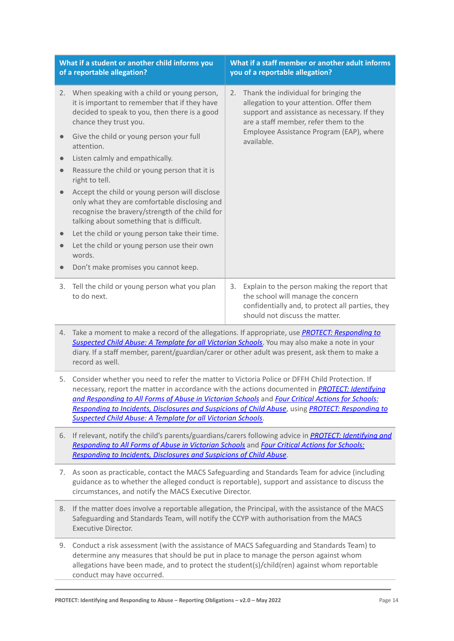| What if a student or another child informs you<br>of a reportable allegation? |                                                                                                                                                                                                  | What if a staff member or another adult informs<br>you of a reportable allegation?                                                                                                                                                         |                                                                                                                                                                          |
|-------------------------------------------------------------------------------|--------------------------------------------------------------------------------------------------------------------------------------------------------------------------------------------------|--------------------------------------------------------------------------------------------------------------------------------------------------------------------------------------------------------------------------------------------|--------------------------------------------------------------------------------------------------------------------------------------------------------------------------|
|                                                                               | 2. When speaking with a child or young person,<br>it is important to remember that if they have<br>decided to speak to you, then there is a good<br>chance they trust you.                       | Thank the individual for bringing the<br>2.<br>allegation to your attention. Offer them<br>support and assistance as necessary. If they<br>are a staff member, refer them to the<br>Employee Assistance Program (EAP), where<br>available. |                                                                                                                                                                          |
|                                                                               | Give the child or young person your full<br>attention.                                                                                                                                           |                                                                                                                                                                                                                                            |                                                                                                                                                                          |
| $\bullet$                                                                     | Listen calmly and empathically.                                                                                                                                                                  |                                                                                                                                                                                                                                            |                                                                                                                                                                          |
| $\bullet$                                                                     | Reassure the child or young person that it is<br>right to tell.                                                                                                                                  |                                                                                                                                                                                                                                            |                                                                                                                                                                          |
| $\bullet$                                                                     | Accept the child or young person will disclose<br>only what they are comfortable disclosing and<br>recognise the bravery/strength of the child for<br>talking about something that is difficult. |                                                                                                                                                                                                                                            |                                                                                                                                                                          |
|                                                                               | Let the child or young person take their time.                                                                                                                                                   |                                                                                                                                                                                                                                            |                                                                                                                                                                          |
| $\bullet$                                                                     | Let the child or young person use their own<br>words.                                                                                                                                            |                                                                                                                                                                                                                                            |                                                                                                                                                                          |
| $\bullet$                                                                     | Don't make promises you cannot keep.                                                                                                                                                             |                                                                                                                                                                                                                                            |                                                                                                                                                                          |
| 3.                                                                            | Tell the child or young person what you plan<br>to do next.                                                                                                                                      | 3.                                                                                                                                                                                                                                         | Explain to the person making the report that<br>the school will manage the concern<br>confidentially and, to protect all parties, they<br>should not discuss the matter. |

- 4. Take a moment to make a record of the allegations. If appropriate, use *[PROTECT: Responding to](http://www.education.vic.gov.au/Documents/about/programs/health/protect/PROTECT_Responding_TemplateSchools.pdf) [Suspected Child Abuse: A Template for all Victorian Schools](http://www.education.vic.gov.au/Documents/about/programs/health/protect/PROTECT_Responding_TemplateSchools.pdf)*. You may also make a note in your diary. If a staff member, parent/guardian/carer or other adult was present, ask them to make a record as well.
- 5. Consider whether you need to refer the matter to Victoria Police or DFFH Child Protection. If necessary, report the matter in accordance with the actions documented in *[PROTECT: Identifying](http://www.education.vic.gov.au/Documents/about/programs/health/protect/ChildSafeStandard5_SchoolsGuide.pdf) [and Responding to All Forms of Abuse in Victorian Schools](http://www.education.vic.gov.au/Documents/about/programs/health/protect/ChildSafeStandard5_SchoolsGuide.pdf)* and *[Four Critical Actions for Schools:](http://www.education.vic.gov.au/Documents/about/programs/health/protect/FourCriticalActions_ChildAbuse.pdf) [Responding to Incidents, Disclosures and Suspicions of Child Abuse](http://www.education.vic.gov.au/Documents/about/programs/health/protect/FourCriticalActions_ChildAbuse.pdf)*, using *[PROTECT: Responding to](http://www.education.vic.gov.au/Documents/about/programs/health/protect/PROTECT_Responding_TemplateSchools.pdf) [Suspected Child Abuse: A Template for all Victorian Schools](http://www.education.vic.gov.au/Documents/about/programs/health/protect/PROTECT_Responding_TemplateSchools.pdf)*.
- 6. If relevant, notify the child's parents/guardians/carers following advice in *[PROTECT: Identifying and](http://www.education.vic.gov.au/Documents/about/programs/health/protect/ChildSafeStandard5_SchoolsGuide.pdf) [Responding to All Forms of Abuse in Victorian Schools](http://www.education.vic.gov.au/Documents/about/programs/health/protect/ChildSafeStandard5_SchoolsGuide.pdf)* and *[Four Critical Actions for Schools:](http://www.education.vic.gov.au/Documents/about/programs/health/protect/FourCriticalActions_ChildAbuse.pdf) [Responding to Incidents, Disclosures and Suspicions of Child Abuse](http://www.education.vic.gov.au/Documents/about/programs/health/protect/FourCriticalActions_ChildAbuse.pdf)*.
- 7. As soon as practicable, contact the MACS Safeguarding and Standards Team for advice (including guidance as to whether the alleged conduct is reportable), support and assistance to discuss the circumstances, and notify the MACS Executive Director.
- 8. If the matter does involve a reportable allegation, the Principal, with the assistance of the MACS Safeguarding and Standards Team, will notify the CCYP with authorisation from the MACS Executive Director.
- 9. Conduct a risk assessment (with the assistance of MACS Safeguarding and Standards Team) to determine any measures that should be put in place to manage the person against whom allegations have been made, and to protect the student(s)/child(ren) against whom reportable conduct may have occurred.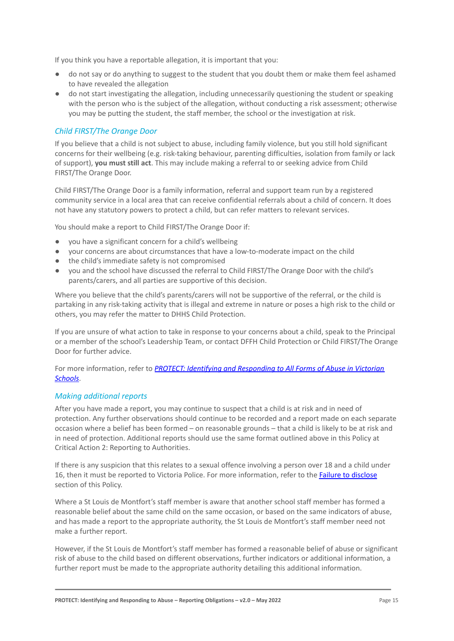If you think you have a reportable allegation, it is important that you:

- do not say or do anything to suggest to the student that you doubt them or make them feel ashamed to have revealed the allegation
- do not start investigating the allegation, including unnecessarily questioning the student or speaking with the person who is the subject of the allegation, without conducting a risk assessment; otherwise you may be putting the student, the staff member, the school or the investigation at risk.

# *Child FIRST/The Orange Door*

If you believe that a child is not subject to abuse, including family violence, but you still hold significant concerns for their wellbeing (e.g. risk-taking behaviour, parenting difficulties, isolation from family or lack of support), **you must still act**. This may include making a referral to or seeking advice from Child FIRST/The Orange Door.

Child FIRST/The Orange Door is a family information, referral and support team run by a registered community service in a local area that can receive confidential referrals about a child of concern. It does not have any statutory powers to protect a child, but can refer matters to relevant services.

You should make a report to Child FIRST/The Orange Door if:

- you have a significant concern for a child's wellbeing
- your concerns are about circumstances that have a low-to-moderate impact on the child
- the child's immediate safety is not compromised
- you and the school have discussed the referral to Child FIRST/The Orange Door with the child's parents/carers, and all parties are supportive of this decision.

Where you believe that the child's parents/carers will not be supportive of the referral, or the child is partaking in any risk-taking activity that is illegal and extreme in nature or poses a high risk to the child or others, you may refer the matter to DHHS Child Protection.

If you are unsure of what action to take in response to your concerns about a child, speak to the Principal or a member of the school's Leadership Team, or contact DFFH Child Protection or Child FIRST/The Orange Door for further advice.

For more information, refer to *PROTECT: Identifying [and Responding to All Forms of Abuse in Victorian](http://www.education.vic.gov.au/Documents/about/programs/health/protect/ChildSafeStandard5_SchoolsGuide.pdf) [Schools](http://www.education.vic.gov.au/Documents/about/programs/health/protect/ChildSafeStandard5_SchoolsGuide.pdf)*.

# *Making additional reports*

After you have made a report, you may continue to suspect that a child is at risk and in need of protection. Any further observations should continue to be recorded and a report made on each separate occasion where a belief has been formed – on reasonable grounds – that a child is likely to be at risk and in need of protection. Additional reports should use the same format outlined above in this Policy at Critical Action 2: Reporting to Authorities.

If there is any suspicion that this relates to a sexual offence involving a person over 18 and a child under 16, then it must be reported to Victoria Police. For more information, refer to the [Failure to disclose](#page-5-0) section of this Policy.

Where a St Louis de Montfort's staff member is aware that another school staff member has formed a reasonable belief about the same child on the same occasion, or based on the same indicators of abuse, and has made a report to the appropriate authority, the St Louis de Montfort's staff member need not make a further report.

However, if the St Louis de Montfort's staff member has formed a reasonable belief of abuse or significant risk of abuse to the child based on different observations, further indicators or additional information, a further report must be made to the appropriate authority detailing this additional information.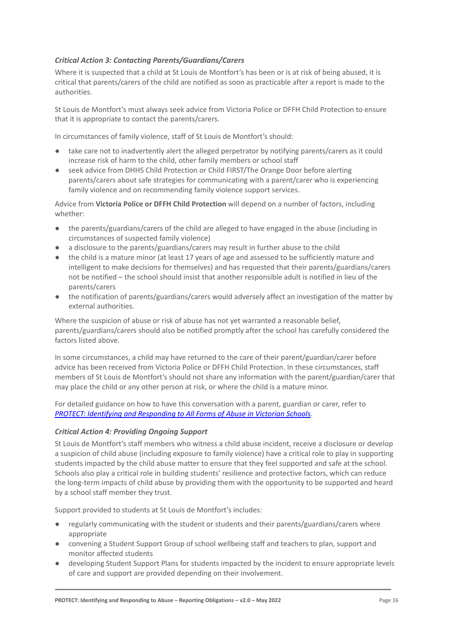# *Critical Action 3: Contacting Parents/Guardians/Carers*

Where it is suspected that a child at St Louis de Montfort's has been or is at risk of being abused, it is critical that parents/carers of the child are notified as soon as practicable after a report is made to the authorities.

St Louis de Montfort's must always seek advice from Victoria Police or DFFH Child Protection to ensure that it is appropriate to contact the parents/carers.

In circumstances of family violence, staff of St Louis de Montfort's should:

- take care not to inadvertently alert the alleged perpetrator by notifying parents/carers as it could increase risk of harm to the child, other family members or school staff
- seek advice from DHHS Child Protection or Child FIRST/The Orange Door before alerting parents/carers about safe strategies for communicating with a parent/carer who is experiencing family violence and on recommending family violence support services.

Advice from **Victoria Police or DFFH Child Protection** will depend on a number of factors, including whether:

- the parents/guardians/carers of the child are alleged to have engaged in the abuse (including in circumstances of suspected family violence)
- a disclosure to the parents/guardians/carers may result in further abuse to the child
- the child is a mature minor (at least 17 years of age and assessed to be sufficiently mature and intelligent to make decisions for themselves) and has requested that their parents/guardians/carers not be notified – the school should insist that another responsible adult is notified in lieu of the parents/carers
- the notification of parents/guardians/carers would adversely affect an investigation of the matter by external authorities.

Where the suspicion of abuse or risk of abuse has not yet warranted a reasonable belief, parents/guardians/carers should also be notified promptly after the school has carefully considered the factors listed above.

In some circumstances, a child may have returned to the care of their parent/guardian/carer before advice has been received from Victoria Police or DFFH Child Protection. In these circumstances, staff members of St Louis de Montfort's should not share any information with the parent/guardian/carer that may place the child or any other person at risk, or where the child is a mature minor.

For detailed guidance on how to have this conversation with a parent, guardian or carer, refer to *[PROTECT: Identifying and Responding to All Forms of Abuse in Victorian Schools.](http://www.education.vic.gov.au/Documents/about/programs/health/protect/ChildSafeStandard5_SchoolsGuide.pdf)*

# *Critical Action 4: Providing Ongoing Support*

St Louis de Montfort's staff members who witness a child abuse incident, receive a disclosure or develop a suspicion of child abuse (including exposure to family violence) have a critical role to play in supporting students impacted by the child abuse matter to ensure that they feel supported and safe at the school. Schools also play a critical role in building students' resilience and protective factors, which can reduce the long-term impacts of child abuse by providing them with the opportunity to be supported and heard by a school staff member they trust.

Support provided to students at St Louis de Montfort's includes:

- regularly communicating with the student or students and their parents/guardians/carers where appropriate
- convening a Student Support Group of school wellbeing staff and teachers to plan, support and monitor affected students
- developing Student Support Plans for students impacted by the incident to ensure appropriate levels of care and support are provided depending on their involvement.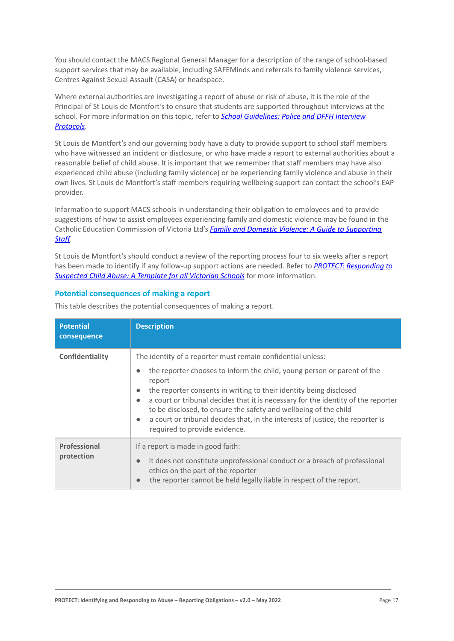You should contact the MACS Regional General Manager for a description of the range of school-based support services that may be available, including SAFEMinds and referrals to family violence services, Centres Against Sexual Assault (CASA) or headspace.

Where external authorities are investigating a report of abuse or risk of abuse, it is the role of the Principal of St Louis de Montfort's to ensure that students are supported throughout interviews at the school. For more information on this topic, refer to *[School Guidelines: Police and DFFH Interview](https://www.cem.edu.au/About-Us/Policies/Police-and-DHHS-Interview-Protocols.aspx) [Protocols.](https://www.cem.edu.au/About-Us/Policies/Police-and-DHHS-Interview-Protocols.aspx)*

St Louis de Montfort's and our governing body have a duty to provide support to school staff members who have witnessed an incident or disclosure, or who have made a report to external authorities about a reasonable belief of child abuse. It is important that we remember that staff members may have also experienced child abuse (including family violence) or be experiencing family violence and abuse in their own lives. St Louis de Montfort's staff members requiring wellbeing support can contact the school's EAP provider.

Information to support MACS schools in understanding their obligation to employees and to provide suggestions of how to assist employees experiencing family and domestic violence may be found in the Catholic Education Commission of Victoria Ltd's *Family [and Domestic Violence: A Guide to Supporting](https://www.cecv.catholic.edu.au/Media-Files/IR/Policies-Guidelines/Family-Domestic-Violence/Guide-to-family-and-domestic-violence-(1).aspx) [Staff](https://www.cecv.catholic.edu.au/Media-Files/IR/Policies-Guidelines/Family-Domestic-Violence/Guide-to-family-and-domestic-violence-(1).aspx)[.](http://www.cecv.catholic.edu.au/Media-Files/IR/Policies-Guidelines/Guide-to-family-and-domestic-violence.aspx)*

St Louis de Montfort's should conduct a review of the reporting process four to six weeks after a report has been made to identify if any follow-up support actions are needed. Refer to *[PROTECT: Responding](http://www.education.vic.gov.au/Documents/about/programs/health/protect/PROTECT_Responding_TemplateSchools.pdf) to [Suspected Child Abuse: A Template for all Victorian Schools](http://www.education.vic.gov.au/Documents/about/programs/health/protect/PROTECT_Responding_TemplateSchools.pdf)* for more information.

# **Potential consequences of making a report**

| <b>Potential</b><br>consequence | <b>Description</b>                                                                                                                                                                                                                                                                                                                                                                                                                                                                                                                                     |
|---------------------------------|--------------------------------------------------------------------------------------------------------------------------------------------------------------------------------------------------------------------------------------------------------------------------------------------------------------------------------------------------------------------------------------------------------------------------------------------------------------------------------------------------------------------------------------------------------|
| Confidentiality                 | The identity of a reporter must remain confidential unless:<br>the reporter chooses to inform the child, young person or parent of the<br>$\bullet$<br>report<br>the reporter consents in writing to their identity being disclosed<br>$\bullet$<br>a court or tribunal decides that it is necessary for the identity of the reporter<br>$\bullet$<br>to be disclosed, to ensure the safety and wellbeing of the child<br>a court or tribunal decides that, in the interests of justice, the reporter is<br>$\bullet$<br>required to provide evidence. |
| Professional<br>protection      | If a report is made in good faith:<br>it does not constitute unprofessional conduct or a breach of professional<br>$\bullet$<br>ethics on the part of the reporter<br>the reporter cannot be held legally liable in respect of the report.<br>$\bullet$                                                                                                                                                                                                                                                                                                |

This table describes the potential consequences of making a report.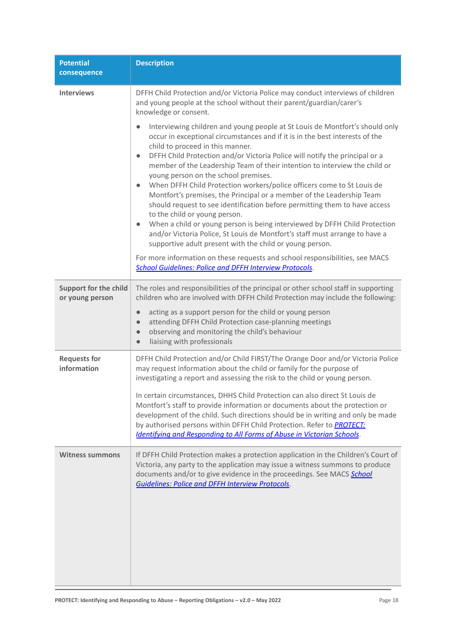| <b>Potential</b><br>consequence                 | <b>Description</b>                                                                                                                                                                                                                                                                                                                                                                                                                                                                                                                                                                                                                                                                                                                                                                                                                                                                                                                                                                                                      |
|-------------------------------------------------|-------------------------------------------------------------------------------------------------------------------------------------------------------------------------------------------------------------------------------------------------------------------------------------------------------------------------------------------------------------------------------------------------------------------------------------------------------------------------------------------------------------------------------------------------------------------------------------------------------------------------------------------------------------------------------------------------------------------------------------------------------------------------------------------------------------------------------------------------------------------------------------------------------------------------------------------------------------------------------------------------------------------------|
| <b>Interviews</b>                               | DFFH Child Protection and/or Victoria Police may conduct interviews of children<br>and young people at the school without their parent/guardian/carer's<br>knowledge or consent.                                                                                                                                                                                                                                                                                                                                                                                                                                                                                                                                                                                                                                                                                                                                                                                                                                        |
|                                                 | Interviewing children and young people at St Louis de Montfort's should only<br>occur in exceptional circumstances and if it is in the best interests of the<br>child to proceed in this manner.<br>DFFH Child Protection and/or Victoria Police will notify the principal or a<br>$\bullet$<br>member of the Leadership Team of their intention to interview the child or<br>young person on the school premises.<br>When DFFH Child Protection workers/police officers come to St Louis de<br>$\bullet$<br>Montfort's premises, the Principal or a member of the Leadership Team<br>should request to see identification before permitting them to have access<br>to the child or young person.<br>When a child or young person is being interviewed by DFFH Child Protection<br>$\bullet$<br>and/or Victoria Police, St Louis de Montfort's staff must arrange to have a<br>supportive adult present with the child or young person.<br>For more information on these requests and school responsibilities, see MACS |
|                                                 | <b>School Guidelines: Police and DFFH Interview Protocols.</b>                                                                                                                                                                                                                                                                                                                                                                                                                                                                                                                                                                                                                                                                                                                                                                                                                                                                                                                                                          |
| <b>Support for the child</b><br>or young person | The roles and responsibilities of the principal or other school staff in supporting<br>children who are involved with DFFH Child Protection may include the following:                                                                                                                                                                                                                                                                                                                                                                                                                                                                                                                                                                                                                                                                                                                                                                                                                                                  |
|                                                 | acting as a support person for the child or young person<br>$\bullet$<br>attending DFFH Child Protection case-planning meetings<br>$\bullet$<br>observing and monitoring the child's behaviour<br>$\bullet$<br>liaising with professionals<br>$\bullet$                                                                                                                                                                                                                                                                                                                                                                                                                                                                                                                                                                                                                                                                                                                                                                 |
| <b>Requests for</b><br>information              | DFFH Child Protection and/or Child FIRST/The Orange Door and/or Victoria Police<br>may request information about the child or family for the purpose of<br>investigating a report and assessing the risk to the child or young person.<br>In certain circumstances, DHHS Child Protection can also direct St Louis de                                                                                                                                                                                                                                                                                                                                                                                                                                                                                                                                                                                                                                                                                                   |
|                                                 | Montfort's staff to provide information or documents about the protection or<br>development of the child. Such directions should be in writing and only be made<br>by authorised persons within DFFH Child Protection. Refer to <b>PROTECT:</b><br><b>Identifying and Responding to All Forms of Abuse in Victorian Schools.</b>                                                                                                                                                                                                                                                                                                                                                                                                                                                                                                                                                                                                                                                                                        |
| <b>Witness summons</b>                          | If DFFH Child Protection makes a protection application in the Children's Court of<br>Victoria, any party to the application may issue a witness summons to produce<br>documents and/or to give evidence in the proceedings. See MACS School<br><b>Guidelines: Police and DFFH Interview Protocols.</b>                                                                                                                                                                                                                                                                                                                                                                                                                                                                                                                                                                                                                                                                                                                 |